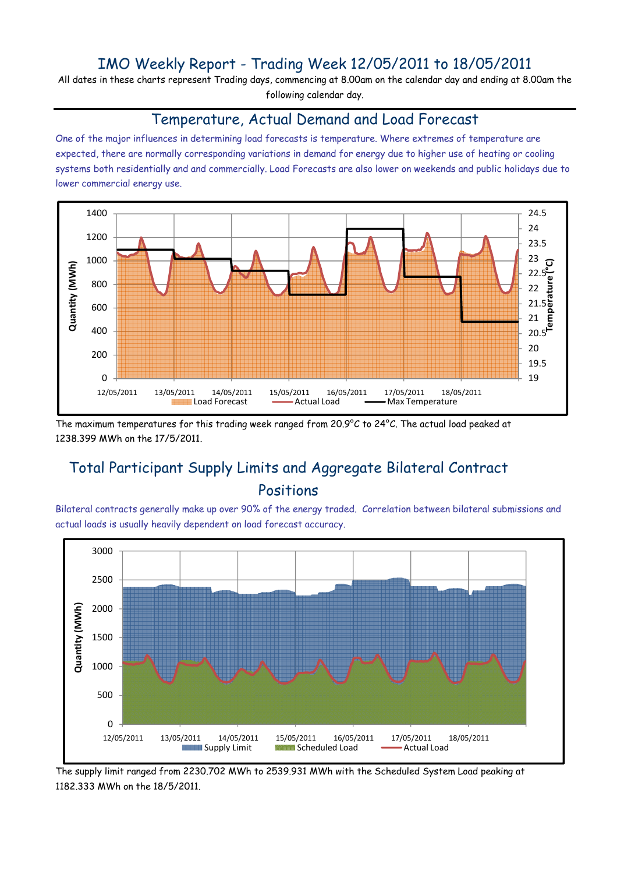## IMO Weekly Report - Trading Week 12/05/2011 to 18/05/2011

All dates in these charts represent Trading days, commencing at 8.00am on the calendar day and ending at 8.00am the following calendar day.

#### Temperature, Actual Demand and Load Forecast

One of the major influences in determining load forecasts is temperature. Where extremes of temperature are expected, there are normally corresponding variations in demand for energy due to higher use of heating or cooling systems both residentially and and commercially. Load Forecasts are also lower on weekends and public holidays due to lower commercial energy use.



The maximum temperatures for this trading week ranged from 20.9°C to 24°C. The actual load peaked at 1238.399 MWh on the 17/5/2011.

# Total Participant Supply Limits and Aggregate Bilateral Contract Positions

Bilateral contracts generally make up over 90% of the energy traded. Correlation between bilateral submissions and actual loads is usually heavily dependent on load forecast accuracy.



The supply limit ranged from 2230.702 MWh to 2539.931 MWh with the Scheduled System Load peaking at 1182.333 MWh on the 18/5/2011.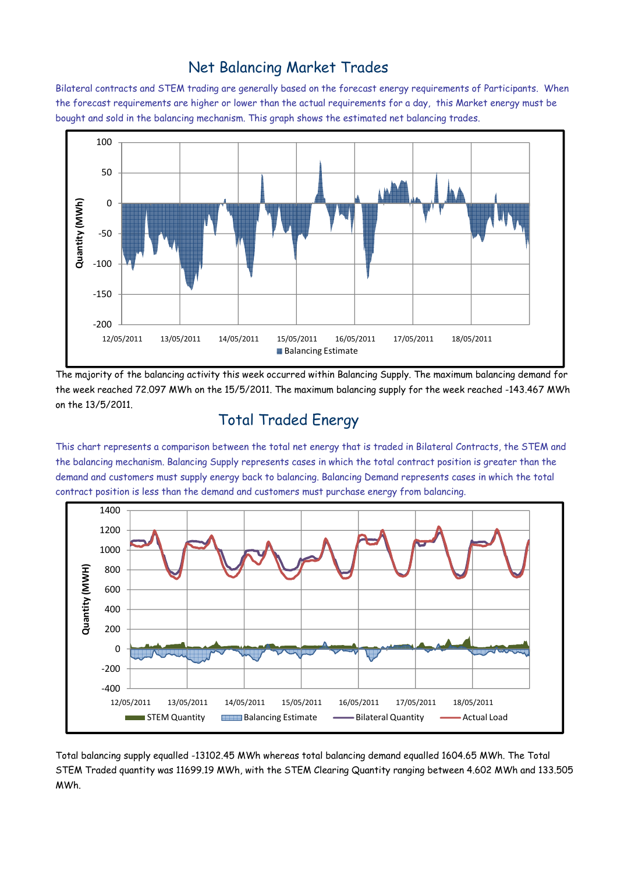### Net Balancing Market Trades

Bilateral contracts and STEM trading are generally based on the forecast energy requirements of Participants. When the forecast requirements are higher or lower than the actual requirements for a day, this Market energy must be bought and sold in the balancing mechanism. This graph shows the estimated net balancing trades.



The majority of the balancing activity this week occurred within Balancing Supply. The maximum balancing demand for the week reached 72.097 MWh on the 15/5/2011. The maximum balancing supply for the week reached -143.467 MWh on the 13/5/2011.

# Total Traded Energy

This chart represents a comparison between the total net energy that is traded in Bilateral Contracts, the STEM and the balancing mechanism. Balancing Supply represents cases in which the total contract position is greater than the demand and customers must supply energy back to balancing. Balancing Demand represents cases in which the total contract position is less than the demand and customers must purchase energy from balancing.



Total balancing supply equalled -13102.45 MWh whereas total balancing demand equalled 1604.65 MWh. The Total STEM Traded quantity was 11699.19 MWh, with the STEM Clearing Quantity ranging between 4.602 MWh and 133.505 MWh.